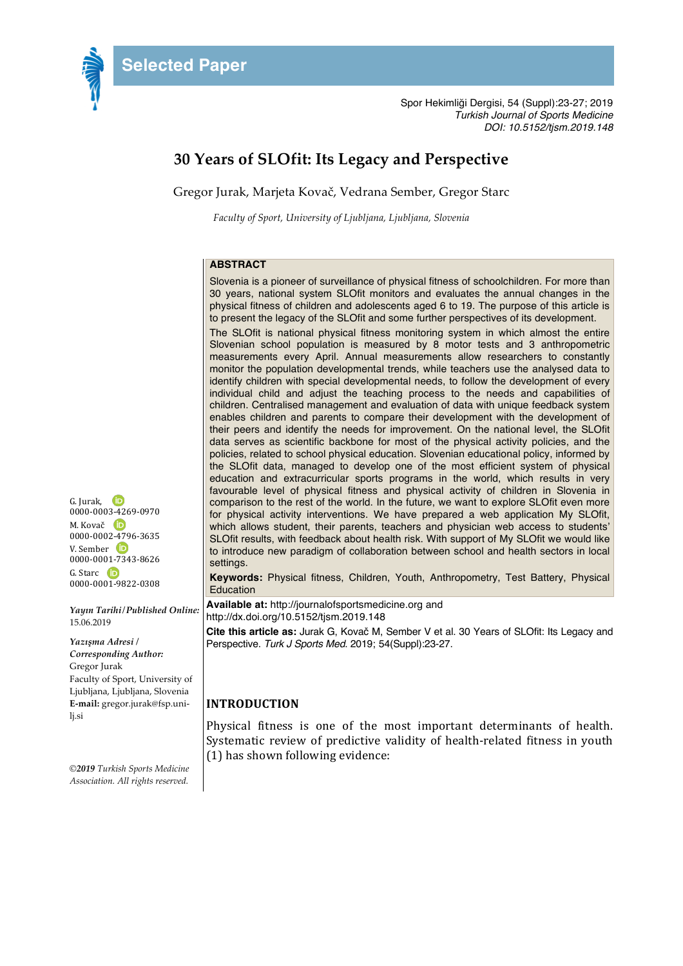

Spor Hekimliği Dergisi, 54 (Suppl):23-27; 2019 *Turkish Journal of Sports Medicine DOI: 10.5152/tjsm.2019.148*

# **30 Years of SLOfit: Its Legacy and Perspective**

Gregor Jurak, Marjeta Kovač, Vedrana Sember, Gregor Starc

*Faculty of Sport, University of Ljubljana, Ljubljana, Slovenia*

## **ABSTRACT**

Slovenia is a pioneer of surveillance of physical fitness of schoolchildren. For more than 30 years, national system SLOfit monitors and evaluates the annual changes in the physical fitness of children and adolescents aged 6 to 19. The purpose of this article is to present the legacy of the SLOfit and some further perspectives of its development.

The SLOfit is national physical fitness monitoring system in which almost the entire Slovenian school population is measured by 8 motor tests and 3 anthropometric measurements every April. Annual measurements allow researchers to constantly monitor the population developmental trends, while teachers use the analysed data to identify children with special developmental needs, to follow the development of every individual child and adjust the teaching process to the needs and capabilities of children. Centralised management and evaluation of data with unique feedback system enables children and parents to compare their development with the development of their peers and identify the needs for improvement. On the national level, the SLOfit data serves as scientific backbone for most of the physical activity policies, and the policies, related to school physical education. Slovenian educational policy, informed by the SLOfit data, managed to develop one of the most efficient system of physical education and extracurricular sports programs in the world, which results in very favourable level of physical fitness and physical activity of children in Slovenia in comparison to the rest of the world. In the future, we want to explore SLOfit even more for physical activity interventions. We have prepared a web application My SLOfit, which allows student, their parents, teachers and physician web access to students' SLOfit results, with feedback about health risk. With support of My SLOfit we would like to introduce new paradigm of collaboration between school and health sectors in local settings.

**Keywords:** Physical fitness, Children, Youth, Anthropometry, Test Battery, Physical Education

**Available at:** http://journalofsportsmedicine.org and http://dx.doi.org/10.5152/tjsm.2019.148

**Cite this article as:** Jurak G, Kovač M, Sember V et al. 30 Years of SLOfit: Its Legacy and Perspective. *Turk J Sports Med*. 2019; 54(Suppl):23-27.

#### **INTRODUCTION**

Physical fitness is one of the most important determinants of health. Systematic review of predictive validity of health-related fitness in youth  $(1)$  has shown following evidence:

G. Jurak, 0000-0003-4269-0970 M. Kovač **D** 0000-0002-4796-3635 V. Sember  $\mathbf{\mathbf{\mathbb{D}}}$ 0000-0001-7343-8626 G. Starc **D** 0000-0001-9822-0308

*Yayın Tarihi/Published Online:* 15.06.2019

*Yazışma Adresi / Corresponding Author:* Gregor Jurak Faculty of Sport, University of Ljubljana, Ljubljana, Slovenia **E-mail:** gregor.jurak@fsp.unilj.si

*©2019 Turkish Sports Medicine Association. All rights reserved.*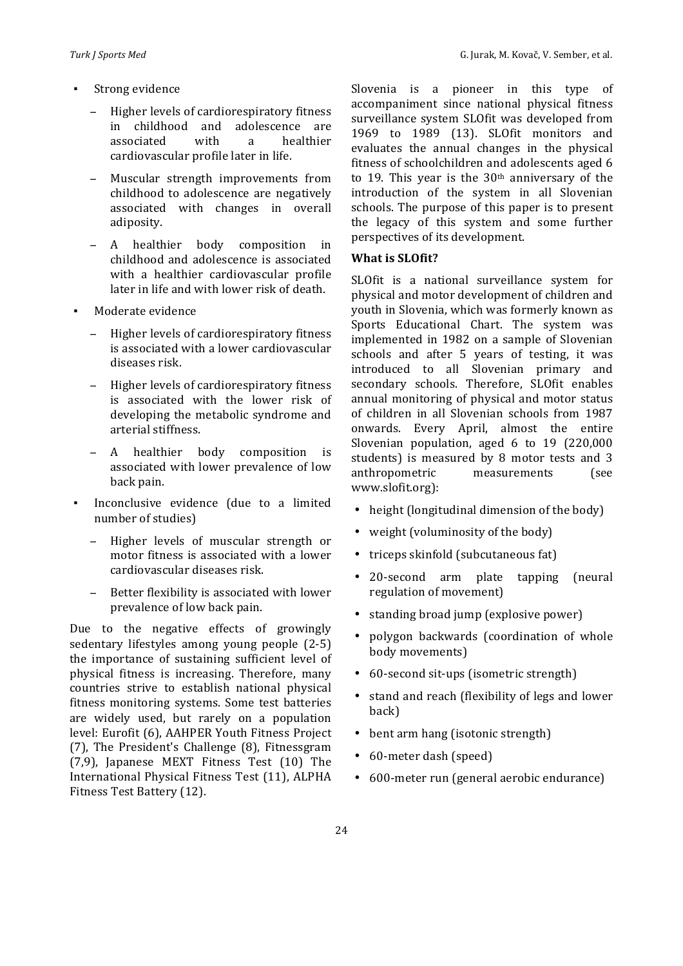- Higher levels of cardiorespiratory fitness in childhood and adolescence are associated with a healthier cardiovascular profile later in life.
- Muscular strength improvements from childhood to adolescence are negatively associated with changes in overall adiposity.
- − A healthier body composition in childhood and adolescence is associated with a healthier cardiovascular profile later in life and with lower risk of death.
- Moderate evidence
	- Higher levels of cardiorespiratory fitness is associated with a lower cardiovascular diseases risk.
	- Higher levels of cardiorespiratory fitness is associated with the lower risk of developing the metabolic syndrome and arterial stiffness.
	- A healthier body composition is associated with lower prevalence of low back pain.
- Inconclusive evidence (due to a limited number of studies)
	- Higher levels of muscular strength or motor fitness is associated with a lower cardiovascular diseases risk.
	- Better flexibility is associated with lower prevalence of low back pain.

Due to the negative effects of growingly sedentary lifestyles among young people (2-5) the importance of sustaining sufficient level of physical fitness is increasing. Therefore, many countries strive to establish national physical fitness monitoring systems. Some test batteries are widely used, but rarely on a population level: Eurofit (6), AAHPER Youth Fitness Project (7), The President's Challenge (8), Fitnessgram (7,9), Japanese MEXT Fitness Test (10) The International Physical Fitness Test (11), ALPHA Fitness Test Battery (12).

Slovenia is a pioneer in this type of accompaniment since national physical fitness surveillance system SLOfit was developed from 1969 to 1989 (13). SLOfit monitors and evaluates the annual changes in the physical fitness of schoolchildren and adolescents aged 6 to 19. This year is the  $30<sup>th</sup>$  anniversary of the introduction of the system in all Slovenian schools. The purpose of this paper is to present the legacy of this system and some further perspectives of its development.

## **What is SLOfit?**

SLOfit is a national surveillance system for physical and motor development of children and youth in Slovenia, which was formerly known as Sports Educational Chart. The system was implemented in 1982 on a sample of Slovenian schools and after 5 years of testing, it was introduced to all Slovenian primary and secondary schools. Therefore, SLOfit enables annual monitoring of physical and motor status of children in all Slovenian schools from 1987 onwards. Every April, almost the entire Slovenian population, aged  $6$  to  $19$  (220,000 students) is measured by 8 motor tests and 3 anthropometric measurements (see www.slofit.org):

- height (longitudinal dimension of the body)
- weight (voluminosity of the body)
- triceps skinfold (subcutaneous fat)
- 20-second arm plate tapping (neural regulation of movement)
- standing broad jump (explosive power)
- polygon backwards (coordination of whole body movements)
- 60-second sit-ups (isometric strength)
- stand and reach (flexibility of legs and lower back)
- bent arm hang (isotonic strength)
- 60-meter dash (speed)
- 600-meter run (general aerobic endurance)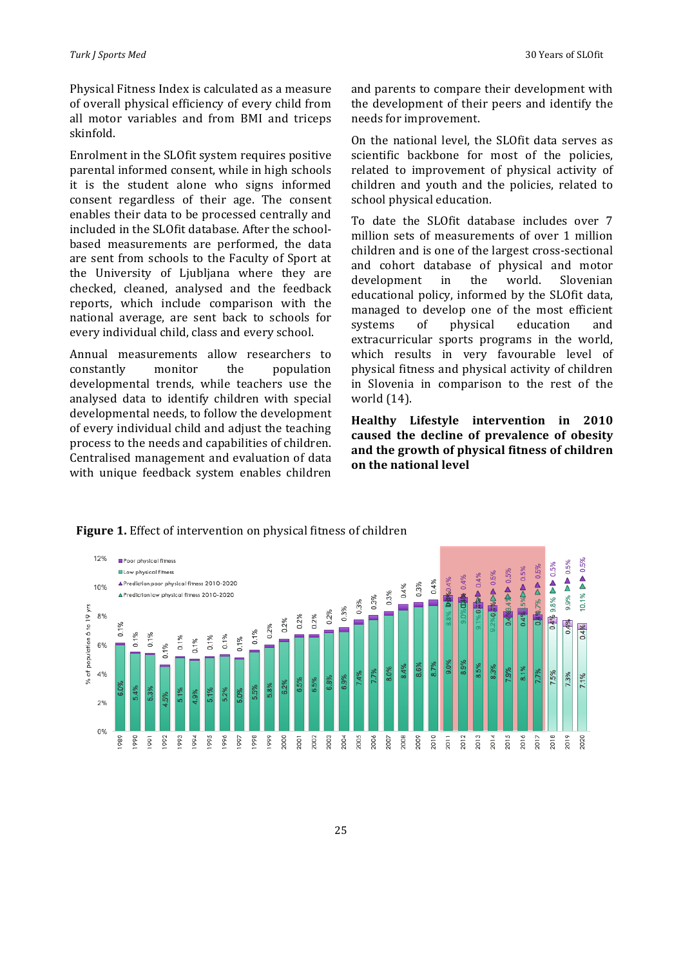Physical Fitness Index is calculated as a measure of overall physical efficiency of every child from all motor variables and from BMI and triceps skinfold. 

Enrolment in the SLOfit system requires positive parental informed consent, while in high schools it is the student alone who signs informed consent regardless of their age. The consent enables their data to be processed centrally and included in the SLOfit database. After the schoolbased measurements are performed, the data are sent from schools to the Faculty of Sport at the University of Ljubljana where they are checked, cleaned, analysed and the feedback reports, which include comparison with the national average, are sent back to schools for every individual child, class and every school.

Annual measurements allow researchers to constantly monitor the population developmental trends, while teachers use the analysed data to identify children with special developmental needs, to follow the development of every individual child and adjust the teaching process to the needs and capabilities of children. Centralised management and evaluation of data with unique feedback system enables children and parents to compare their development with the development of their peers and identify the needs for improvement.

On the national level, the SLOfit data serves as scientific backbone for most of the policies, related to improvement of physical activity of children and youth and the policies, related to school physical education.

To date the SLOfit database includes over 7 million sets of measurements of over 1 million children and is one of the largest cross-sectional and cohort database of physical and motor development in the world. Slovenian educational policy, informed by the SLOfit data, managed to develop one of the most efficient systems of physical education and extracurricular sports programs in the world, which results in very favourable level of physical fitness and physical activity of children in Slovenia in comparison to the rest of the world  $(14)$ .

**Healthy Lifestyle intervention in 2010**  caused the decline of prevalence of obesity and the growth of physical fitness of children **on the national level**



**Figure 1.** Effect of intervention on physical fitness of children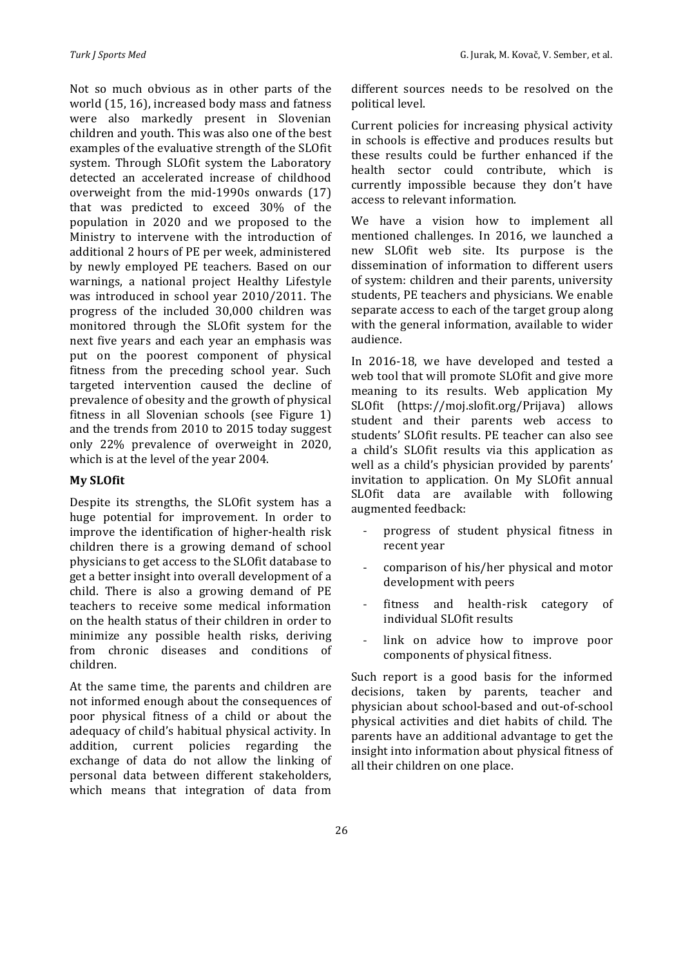Not so much obvious as in other parts of the world  $(15, 16)$ , increased body mass and fatness were also markedly present in Slovenian children and youth. This was also one of the best examples of the evaluative strength of the SLOfit system. Through SLOfit system the Laboratory detected an accelerated increase of childhood overweight from the mid-1990s onwards  $(17)$ that was predicted to exceed 30% of the population in 2020 and we proposed to the Ministry to intervene with the introduction of additional 2 hours of PE per week, administered by newly employed PE teachers. Based on our warnings, a national project Healthy Lifestyle was introduced in school year 2010/2011. The progress of the included 30,000 children was monitored through the SLOfit system for the next five years and each year an emphasis was put on the poorest component of physical fitness from the preceding school year. Such targeted intervention caused the decline of prevalence of obesity and the growth of physical fitness in all Slovenian schools (see Figure  $1$ ) and the trends from 2010 to 2015 today suggest only 22% prevalence of overweight in 2020, which is at the level of the year 2004.

#### **My SLOfit**

Despite its strengths, the SLOfit system has a huge potential for improvement. In order to improve the identification of higher-health risk children there is a growing demand of school physicians to get access to the SLOfit database to get a better insight into overall development of a child. There is also a growing demand of  $PE$ teachers to receive some medical information on the health status of their children in order to minimize any possible health risks, deriving from chronic diseases and conditions of children.

At the same time, the parents and children are not informed enough about the consequences of poor physical fitness of a child or about the adequacy of child's habitual physical activity. In addition, current policies regarding the exchange of data do not allow the linking of personal data between different stakeholders, which means that integration of data from

different sources needs to be resolved on the political level. 

Current policies for increasing physical activity in schools is effective and produces results but these results could be further enhanced if the health sector could contribute, which is currently impossible because they don't have access to relevant information.

We have a vision how to implement all mentioned challenges. In 2016, we launched a new SLOfit web site. Its purpose is the dissemination of information to different users of system: children and their parents, university students, PE teachers and physicians. We enable separate access to each of the target group along with the general information, available to wider audience. 

In 2016-18, we have developed and tested a web tool that will promote SLOfit and give more meaning to its results. Web application My SLOfit (https://moj.slofit.org/Prijava) allows student and their parents web access to students' SLOfit results. PE teacher can also see a child's SLOfit results via this application as well as a child's physician provided by parents' invitation to application. On My SLOfit annual SLOfit data are available with following augmented feedback:

- progress of student physical fitness in recent year
- comparison of his/her physical and motor development with peers
- fitness and health-risk category of individual SLOfit results
- link on advice how to improve poor components of physical fitness.

Such report is a good basis for the informed decisions, taken by parents, teacher and physician about school-based and out-of-school physical activities and diet habits of child. The parents have an additional advantage to get the insight into information about physical fitness of all their children on one place.